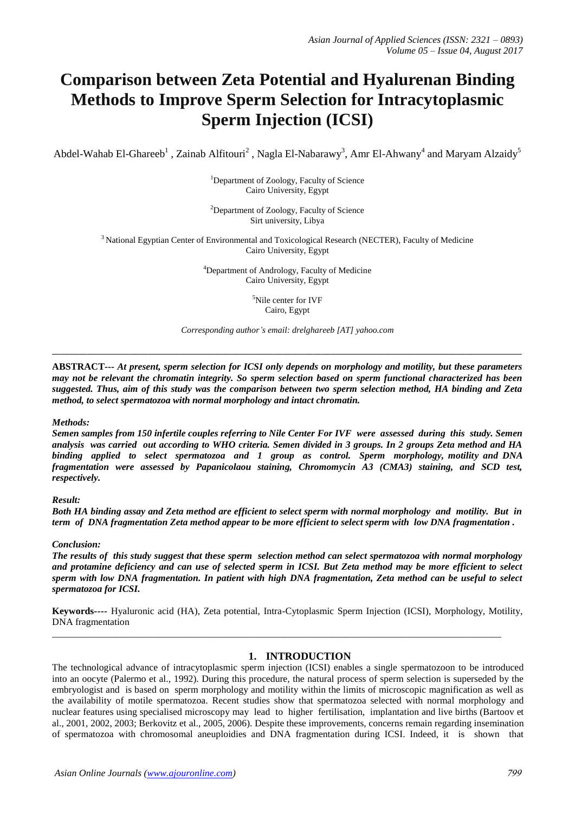# **Comparison between Zeta Potential and Hyalurenan Binding Methods to Improve Sperm Selection for Intracytoplasmic Sperm Injection (ICSI)**

Abdel-Wahab El-Ghareeb $^1$  , Zainab Alfitouri $^2$  , Nagla El-Nabarawy $^3$ , Amr El-Ahwany $^4$  and Maryam Alzaidy $^5$ 

<sup>1</sup>Department of Zoology, Faculty of Science Cairo University, Egypt

<sup>2</sup>Department of Zoology, Faculty of Science Sirt university, Libya

<sup>3</sup> National Egyptian Center of Environmental and Toxicological Research (NECTER), Faculty of Medicine Cairo University, Egypt

> <sup>4</sup>Department of Andrology, Faculty of Medicine Cairo University, Egypt

> > <sup>5</sup>Nile center for IVF Cairo, Egypt

*Corresponding author's email: drelghareeb [AT] yahoo.com*

**\_\_\_\_\_\_\_\_\_\_\_\_\_\_\_\_\_\_\_\_\_\_\_\_\_\_\_\_\_\_\_\_\_\_\_\_\_\_\_\_\_\_\_\_\_\_\_\_\_\_\_\_\_\_\_\_\_\_\_\_\_\_\_\_\_\_\_\_\_\_\_\_\_\_\_\_\_\_\_\_\_\_\_\_\_\_\_\_\_\_\_\_\_\_\_\_\_\_\_\_\_\_\_\_\_\_\_\_**

**ABSTRACT---** *At present, sperm selection for ICSI only depends on morphology and motility, but these parameters may not be relevant the chromatin integrity. So sperm selection based on sperm functional characterized has been suggested. Thus, aim of this study was the comparison between two sperm selection method, HA binding and Zeta method, to select spermatozoa with normal morphology and intact chromatin.* 

#### *Methods:*

*Semen samples from 150 infertile couples referring to Nile Center For IVF were assessed during this study. Semen analysis was carried out according to WHO criteria. Semen divided in 3 groups. In 2 groups Zeta method and HA binding applied to select spermatozoa and 1 group as control. Sperm morphology, motility and DNA fragmentation were assessed by Papanicolaou staining, Chromomycin A3 (CMA3) staining, and SCD test, respectively.* 

#### *Result:*

*Both HA binding assay and Zeta method are efficient to select sperm with normal morphology and motility. But in term of DNA fragmentation Zeta method appear to be more efficient to select sperm with low DNA fragmentation .* 

## *Conclusion:*

*The results of this study suggest that these sperm selection method can select spermatozoa with normal morphology and protamine deficiency and can use of selected sperm in ICSI. But Zeta method may be more efficient to select sperm with low DNA fragmentation. In patient with high DNA fragmentation, Zeta method can be useful to select spermatozoa for ICSI.* 

**Keywords----** Hyaluronic acid (HA), Zeta potential, Intra-Cytoplasmic Sperm Injection (ICSI), Morphology, Motility, DNA fragmentation

\_\_\_\_\_\_\_\_\_\_\_\_\_\_\_\_\_\_\_\_\_\_\_\_\_\_\_\_\_\_\_\_\_\_\_\_\_\_\_\_\_\_\_\_\_\_\_\_\_\_\_\_\_\_\_\_\_\_\_\_\_\_\_\_\_\_\_\_\_\_\_\_\_\_\_\_\_\_\_\_\_\_\_\_\_\_\_\_\_\_\_\_\_

#### **1. INTRODUCTION**

The technological advance of intracytoplasmic sperm injection (ICSI) enables a single spermatozoon to be introduced into an oocyte (Palermo et al., 1992). During this procedure, the natural process of sperm selection is superseded by the embryologist and is based on sperm morphology and motility within the limits of microscopic magnification as well as the availability of motile spermatozoa. Recent studies show that spermatozoa selected with normal morphology and nuclear features using specialised microscopy may lead to higher fertilisation, implantation and live births (Bartoov et al., 2001, 2002, 2003; Berkovitz et al., 2005, 2006). Despite these improvements, concerns remain regarding insemination of spermatozoa with chromosomal aneuploidies and DNA fragmentation during ICSI. Indeed, it is shown that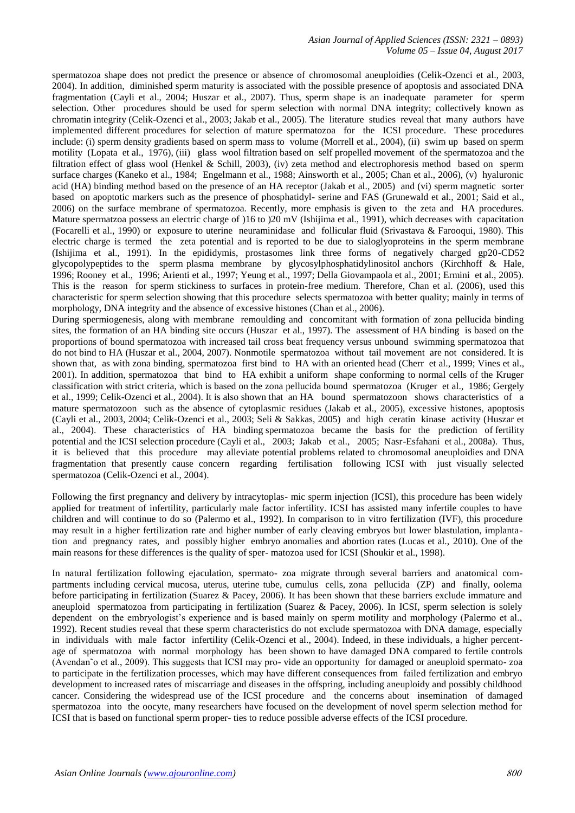spermatozoa shape does not predict the presence or absence of chromosomal aneuploidies (Celik-Ozenci et al., 2003, 2004). In addition, diminished sperm maturity is associated with the possible presence of apoptosis and associated DNA fragmentation (Cayli et al., 2004; Huszar et al., 2007). Thus, sperm shape is an inadequate parameter for sperm selection. Other procedures should be used for sperm selection with normal DNA integrity; collectively known as chromatin integrity (Celik-Ozenci et al., 2003; Jakab et al., 2005). The literature studies reveal that many authors have implemented different procedures for selection of mature spermatozoa for the ICSI procedure. These procedures include: (i) sperm density gradients based on sperm mass to volume (Morrell et al., 2004), (ii) swim up based on sperm motility (Lopata et al., 1976), (iii) glass wool filtration based on self propelled movement of the spermatozoa and the filtration effect of glass wool (Henkel & Schill, 2003), (iv) zeta method and electrophoresis method based on sperm surface charges (Kaneko et al., 1984; Engelmann et al., 1988; Ainsworth et al., 2005; Chan et al., 2006), (v) hyaluronic acid (HA) binding method based on the presence of an HA receptor (Jakab et al., 2005) and (vi) sperm magnetic sorter based on apoptotic markers such as the presence of phosphatidyl- serine and FAS (Grunewald et al., 2001; Said et al., 2006) on the surface membrane of spermatozoa. Recently, more emphasis is given to the zeta and HA procedures. Mature spermatzoa possess an electric charge of  $16$  to  $20$  mV (Ishijima et al., 1991), which decreases with capacitation (Focarelli et al., 1990) or exposure to uterine neuraminidase and follicular fluid (Srivastava & Farooqui, 1980). This electric charge is termed the zeta potential and is reported to be due to sialoglyoproteins in the sperm membrane (Ishijima et al., 1991). In the epididymis, prostasomes link three forms of negatively charged gp20-CD52 glycopolypeptides to the sperm plasma membrane by glycosylphosphatidylinositol anchors (Kirchhoff & Hale, 1996; Rooney et al., 1996; Arienti et al., 1997; Yeung et al., 1997; Della Giovampaola et al., 2001; Ermini et al., 2005). This is the reason for sperm stickiness to surfaces in protein-free medium. Therefore, Chan et al. (2006), used this characteristic for sperm selection showing that this procedure selects spermatozoa with better quality; mainly in terms of morphology, DNA integrity and the absence of excessive histones (Chan et al., 2006).

During spermiogenesis, along with membrane remoulding and concomitant with formation of zona pellucida binding sites, the formation of an HA binding site occurs (Huszar et al., 1997). The assessment of HA binding is based on the proportions of bound spermatozoa with increased tail cross beat frequency versus unbound swimming spermatozoa that do not bind to HA (Huszar et al., 2004, 2007). Nonmotile spermatozoa without tail movement are not considered. It is shown that, as with zona binding, spermatozoa first bind to HA with an oriented head (Cherr et al., 1999; Vines et al., 2001). In addition, spermatozoa that bind to HA exhibit a uniform shape conforming to normal cells of the Kruger classification with strict criteria, which is based on the zona pellucida bound spermatozoa (Kruger et al., 1986; Gergely et al., 1999; Celik-Ozenci et al., 2004). It is also shown that an HA bound spermatozoon shows characteristics of a mature spermatozoon such as the absence of cytoplasmic residues (Jakab et al., 2005), excessive histones, apoptosis (Cayli et al., 2003, 2004; Celik-Ozenci et al., 2003; Seli & Sakkas, 2005) and high ceratin kinase activity (Huszar et al., 2004). These characteristics of HA binding spermatozoa became the basis for the prediction of fertility potential and the ICSI selection procedure (Cayli et al., 2003; Jakab et al., 2005; Nasr-Esfahani et al., 2008a). Thus, it is believed that this procedure may alleviate potential problems related to chromosomal aneuploidies and DNA fragmentation that presently cause concern regarding fertilisation following ICSI with just visually selected spermatozoa (Celik-Ozenci et al., 2004).

Following the first pregnancy and delivery by intracytoplas- mic sperm injection (ICSI), this procedure has been widely applied for treatment of infertility, particularly male factor infertility. ICSI has assisted many infertile couples to have children and will continue to do so (Palermo et al., 1992). In comparison to in vitro fertilization (IVF), this procedure may result in a higher fertilization rate and higher number of early cleaving embryos but lower blastulation, implantation and pregnancy rates, and possibly higher embryo anomalies and abortion rates (Lucas et al., 2010). One of the main reasons for these differences is the quality of sper- matozoa used for ICSI (Shoukir et al., 1998).

In natural fertilization following ejaculation, spermato- zoa migrate through several barriers and anatomical compartments including cervical mucosa, uterus, uterine tube, cumulus cells, zona pellucida (ZP) and finally, oolema before participating in fertilization (Suarez & Pacey, 2006). It has been shown that these barriers exclude immature and aneuploid spermatozoa from participating in fertilization (Suarez & Pacey, 2006). In ICSI, sperm selection is solely dependent on the embryologist's experience and is based mainly on sperm motility and morphology (Palermo et al., 1992). Recent studies reveal that these sperm characteristics do not exclude spermatozoa with DNA damage, especially in individuals with male factor infertility (Celik-Ozenci et al., 2004). Indeed, in these individuals, a higher percentage of spermatozoa with normal morphology has been shown to have damaged DNA compared to fertile controls (Avendan˜o et al., 2009). This suggests that ICSI may pro- vide an opportunity for damaged or aneuploid spermato- zoa to participate in the fertilization processes, which may have different consequences from failed fertilization and embryo development to increased rates of miscarriage and diseases in the offspring, including aneuploidy and possibly childhood cancer. Considering the widespread use of the ICSI procedure and the concerns about insemination of damaged spermatozoa into the oocyte, many researchers have focused on the development of novel sperm selection method for ICSI that is based on functional sperm proper- ties to reduce possible adverse effects of the ICSI procedure.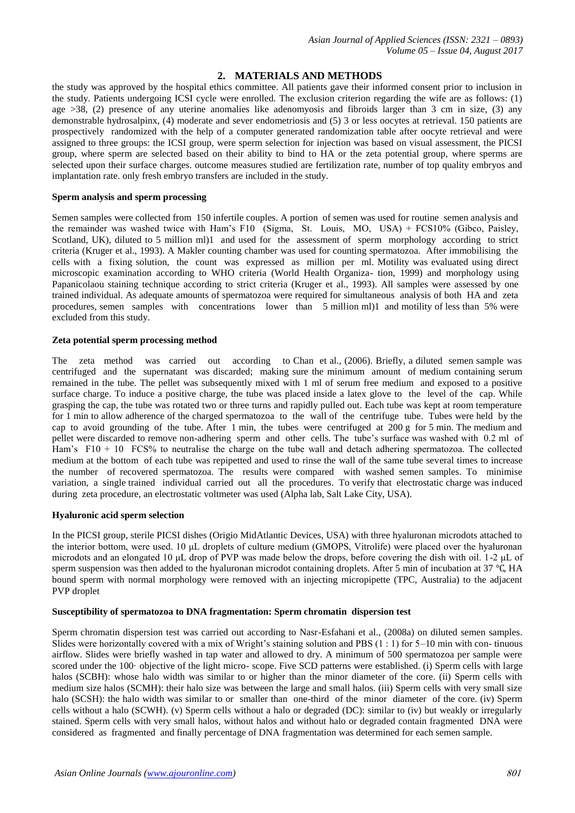# **2. MATERIALS AND METHODS**

the study was approved by the hospital ethics committee. All patients gave their informed consent prior to inclusion in the study. Patients undergoing ICSI cycle were enrolled. The exclusion criterion regarding the wife are as follows: (1) age >38, (2) presence of any uterine anomalies like adenomyosis and fibroids larger than 3 cm in size, (3) any demonstrable hydrosalpinx, (4) moderate and sever endometriosis and (5) 3 or less oocytes at retrieval. 150 patients are prospectively randomized with the help of a computer generated randomization table after oocyte retrieval and were assigned to three groups: the ICSI group, were sperm selection for injection was based on visual assessment, the PICSI group, where sperm are selected based on their ability to bind to HA or the zeta potential group, where sperms are selected upon their surface charges. outcome measures studied are fertilization rate, number of top quality embryos and implantation rate. only fresh embryo transfers are included in the study.

#### **Sperm analysis and sperm processing**

Semen samples were collected from 150 infertile couples. A portion of semen was used for routine semen analysis and the remainder was washed twice with Ham's F10 (Sigma, St. Louis, MO, USA) + FCS10% (Gibco, Paisley, Scotland, UK), diluted to 5 million ml)1 and used for the assessment of sperm morphology according to strict criteria (Kruger et al., 1993). A Makler counting chamber was used for counting spermatozoa. After immobilising the cells with a fixing solution, the count was expressed as million per ml. Motility was evaluated using direct microscopic examination according to WHO criteria (World Health Organiza- tion, 1999) and morphology using Papanicolaou staining technique according to strict criteria (Kruger et al., 1993). All samples were assessed by one trained individual. As adequate amounts of spermatozoa were required for simultaneous analysis of both HA and zeta procedures, semen samples with concentrations lower than 5 million ml)1 and motility of less than 5% were excluded from this study.

#### **Zeta potential sperm processing method**

The zeta method was carried out according to Chan et al., (2006). Briefly, a diluted semen sample was centrifuged and the supernatant was discarded; making sure the minimum amount of medium containing serum remained in the tube. The pellet was subsequently mixed with 1 ml of serum free medium and exposed to a positive surface charge. To induce a positive charge, the tube was placed inside a latex glove to the level of the cap. While grasping the cap, the tube was rotated two or three turns and rapidly pulled out. Each tube was kept at room temperature for 1 min to allow adherence of the charged spermatozoa to the wall of the centrifuge tube. Tubes were held by the cap to avoid grounding of the tube. After 1 min, the tubes were centrifuged at 200 g for 5 min. The medium and pellet were discarded to remove non-adhering sperm and other cells. The tube's surface was washed with 0.2 ml of Ham's F10 + 10 FCS% to neutralise the charge on the tube wall and detach adhering spermatozoa. The collected medium at the bottom of each tube was repipetted and used to rinse the wall of the same tube several times to increase the number of recovered spermatozoa. The results were compared with washed semen samples. To minimise variation, a single trained individual carried out all the procedures. To verify that electrostatic charge was induced during zeta procedure, an electrostatic voltmeter was used (Alpha lab, Salt Lake City, USA).

### **Hyaluronic acid sperm selection**

In the PICSI group, sterile PICSI dishes (Origio MidAtlantic Devices, USA) with three hyaluronan microdots attached to the interior bottom, were used. 10 μL droplets of culture medium (GMOPS, Vitrolife) were placed over the hyaluronan microdots and an elongated 10 μL drop of PVP was made below the drops, before covering the dish with oil. 1-2 μL of sperm suspension was then added to the hyaluronan microdot containing droplets. After 5 min of incubation at 37 °C, HA bound sperm with normal morphology were removed with an injecting micropipette (TPC, Australia) to the adjacent PVP droplet

#### **Susceptibility of spermatozoa to DNA fragmentation: Sperm chromatin dispersion test**

Sperm chromatin dispersion test was carried out according to Nasr-Esfahani et al., (2008a) on diluted semen samples. Slides were horizontally covered with a mix of Wright's staining solution and PBS  $(1:1)$  for 5–10 min with con-tinuous airflow. Slides were briefly washed in tap water and allowed to dry. A minimum of 500 spermatozoa per sample were scored under the 100· objective of the light micro- scope. Five SCD patterns were established. (i) Sperm cells with large halos (SCBH): whose halo width was similar to or higher than the minor diameter of the core. (ii) Sperm cells with medium size halos (SCMH): their halo size was between the large and small halos. (iii) Sperm cells with very small size halo (SCSH): the halo width was similar to or smaller than one-third of the minor diameter of the core. (iv) Sperm cells without a halo (SCWH). (v) Sperm cells without a halo or degraded (DC): similar to (iv) but weakly or irregularly stained. Sperm cells with very small halos, without halos and without halo or degraded contain fragmented DNA were considered as fragmented and finally percentage of DNA fragmentation was determined for each semen sample.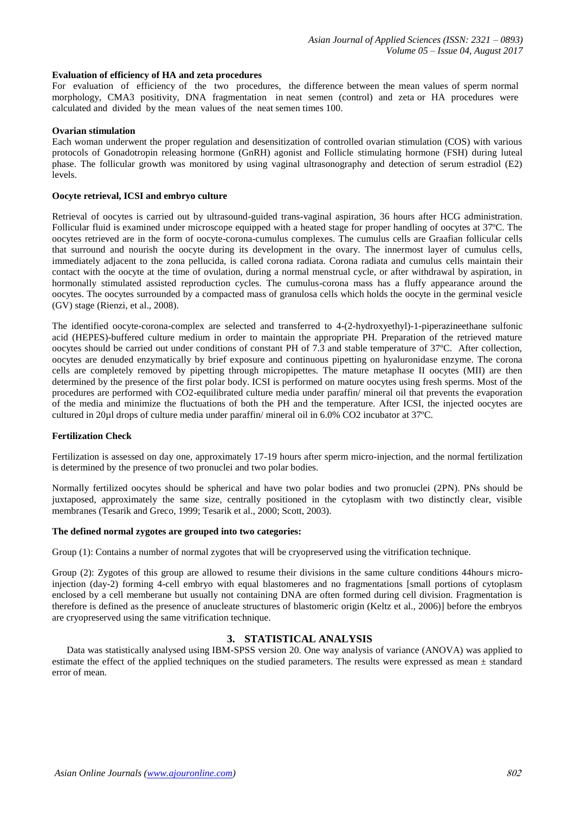#### **Evaluation of efficiency of HA and zeta procedures**

For evaluation of efficiency of the two procedures, the difference between the mean values of sperm normal morphology, CMA3 positivity, DNA fragmentation in neat semen (control) and zeta or HA procedures were calculated and divided by the mean values of the neat semen times 100.

#### **Ovarian stimulation**

Each woman underwent the proper regulation and desensitization of controlled ovarian stimulation (COS) with various protocols of Gonadotropin releasing hormone (GnRH) agonist and Follicle stimulating hormone (FSH) during luteal phase. The follicular growth was monitored by using vaginal ultrasonography and detection of serum estradiol (E2) levels.

## **Oocyte retrieval, ICSI and embryo culture**

Retrieval of oocytes is carried out by ultrasound-guided trans-vaginal aspiration, 36 hours after HCG administration. Follicular fluid is examined under microscope equipped with a heated stage for proper handling of oocytes at 37ºC. The oocytes retrieved are in the form of oocyte-corona-cumulus complexes. The cumulus cells are Graafian follicular cells that surround and nourish the oocyte during its development in the ovary. The innermost layer of cumulus cells, immediately adjacent to the zona pellucida, is called corona radiata. Corona radiata and cumulus cells maintain their contact with the oocyte at the time of ovulation, during a normal menstrual cycle, or after withdrawal by aspiration, in hormonally stimulated assisted reproduction cycles. The cumulus-corona mass has a fluffy appearance around the oocytes. The oocytes surrounded by a compacted mass of granulosa cells which holds the oocyte in the germinal vesicle (GV) stage (Rienzi, et al., 2008).

The identified oocyte-corona-complex are selected and transferred to 4-(2-hydroxyethyl)-1-piperazineethane sulfonic acid (HEPES)-buffered culture medium in order to maintain the appropriate PH. Preparation of the retrieved mature oocytes should be carried out under conditions of constant PH of 7.3 and stable temperature of 37ºC. After collection, oocytes are denuded enzymatically by brief exposure and continuous pipetting on hyaluronidase enzyme. The corona cells are completely removed by pipetting through micropipettes. The mature metaphase II oocytes (MII) are then determined by the presence of the first polar body. ICSI is performed on mature oocytes using fresh sperms. Most of the procedures are performed with CO2-equilibrated culture media under paraffin/ mineral oil that prevents the evaporation of the media and minimize the fluctuations of both the PH and the temperature. After ICSI, the injected oocytes are cultured in 20µl drops of culture media under paraffin/ mineral oil in 6.0% CO2 incubator at 37ºC.

## **Fertilization Check**

Fertilization is assessed on day one, approximately 17-19 hours after sperm micro-injection, and the normal fertilization is determined by the presence of two pronuclei and two polar bodies.

Normally fertilized oocytes should be spherical and have two polar bodies and two pronuclei (2PN). PNs should be juxtaposed, approximately the same size, centrally positioned in the cytoplasm with two distinctly clear, visible membranes (Tesarik and Greco, 1999; Tesarik et al., 2000; Scott, 2003).

#### **The defined normal zygotes are grouped into two categories:**

Group (1): Contains a number of normal zygotes that will be cryopreserved using the vitrification technique.

Group (2): Zygotes of this group are allowed to resume their divisions in the same culture conditions 44hours microinjection (day-2) forming 4-cell embryo with equal blastomeres and no fragmentations [small portions of cytoplasm enclosed by a cell memberane but usually not containing DNA are often formed during cell division. Fragmentation is therefore is defined as the presence of anucleate structures of blastomeric origin (Keltz et al., 2006)] before the embryos are cryopreserved using the same vitrification technique.

# **3. STATISTICAL ANALYSIS**

 Data was statistically analysed using IBM-SPSS version 20. One way analysis of variance (ANOVA) was applied to estimate the effect of the applied techniques on the studied parameters. The results were expressed as mean ± standard error of mean.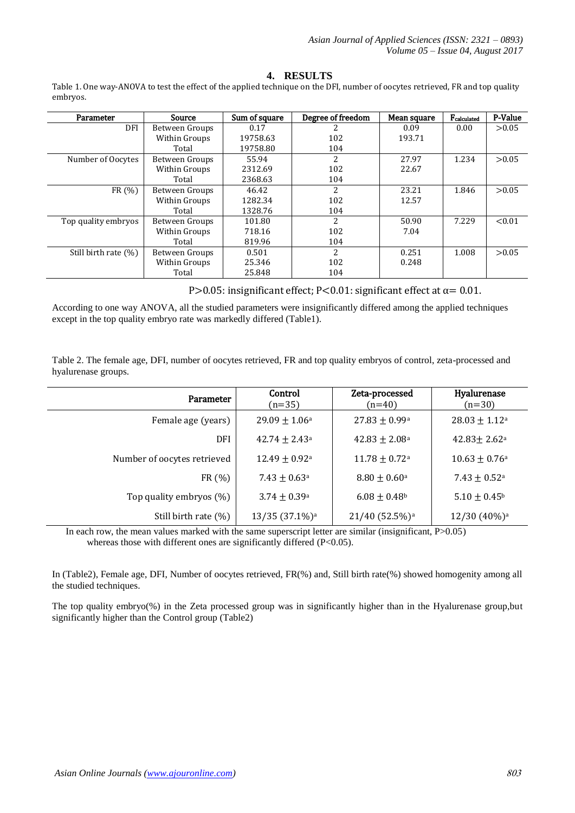# **4. RESULTS**

Table 1. One way-ANOVA to test the effect of the applied technique on the DFI, number of oocytes retrieved, FR and top quality embryos.

| Parameter               | Source         | Sum of square | Degree of freedom | Mean square | Fcalculated | P-Value |
|-------------------------|----------------|---------------|-------------------|-------------|-------------|---------|
| DFI                     | Between Groups | 0.17          |                   | 0.09        | 0.00        | > 0.05  |
|                         | Within Groups  | 19758.63      | 102               | 193.71      |             |         |
|                         | Total          | 19758.80      | 104               |             |             |         |
| Number of Oocytes       | Between Groups | 55.94         | 2                 | 27.97       | 1.234       | > 0.05  |
|                         | Within Groups  | 2312.69       | 102               | 22.67       |             |         |
|                         | Total          | 2368.63       | 104               |             |             |         |
| FR(%)                   | Between Groups | 46.42         | 2                 | 23.21       | 1.846       | > 0.05  |
|                         | Within Groups  | 1282.34       | 102               | 12.57       |             |         |
|                         | Total          | 1328.76       | 104               |             |             |         |
| Top quality embryos     | Between Groups | 101.80        | $\overline{c}$    | 50.90       | 7.229       | < 0.01  |
|                         | Within Groups  | 718.16        | 102               | 7.04        |             |         |
|                         | Total          | 819.96        | 104               |             |             |         |
| Still birth rate $(\%)$ | Between Groups | 0.501         | $\overline{c}$    | 0.251       | 1.008       | > 0.05  |
|                         | Within Groups  | 25.346        | 102               | 0.248       |             |         |
|                         | Total          | 25.848        | 104               |             |             |         |

P>0.05: insignificant effect; P<0.01: significant effect at  $\alpha$  = 0.01.

According to one way ANOVA, all the studied parameters were insignificantly differed among the applied techniques except in the top quality embryo rate was markedly differed (Table1).

Table 2. The female age, DFI, number of oocytes retrieved, FR and top quality embryos of control, zeta-processed and hyalurenase groups.

| Parameter                   | Control<br>$(n=35)$         | Zeta-processed<br>$(n=40)$    | Hyalurenase<br>$(n=30)$      |
|-----------------------------|-----------------------------|-------------------------------|------------------------------|
| Female age (years)          | $29.09 \pm 1.06^{\circ}$    | $27.83 \pm 0.99^{\circ}$      | $28.03 \pm 1.12^{\circ}$     |
| <b>DFI</b>                  | $42.74 \pm 2.43^{\circ}$    | $42.83 \pm 2.08^{\circ}$      | $42.83 \pm 2.62^{\circ}$     |
| Number of oocytes retrieved | $12.49 \pm 0.92^{\text{a}}$ | $11.78 \pm 0.72$ <sup>a</sup> | $10.63 \pm 0.76^{\circ}$     |
| FR (%)                      | $7.43 \pm 0.63^{\circ}$     | $8.80 \pm 0.60^{\text{a}}$    | $7.43 \pm 0.52$ <sup>a</sup> |
| Top quality embryos (%)     | $3.74 \pm 0.39^{\circ}$     | $6.08 \pm 0.48$ <sup>b</sup>  | $5.10 \pm 0.45^{\rm b}$      |
| Still birth rate $(\%)$     | 13/35 (37.1%) <sup>a</sup>  | 21/40 (52.5%) <sup>a</sup>    | 12/30 (40%) <sup>a</sup>     |

In each row, the mean values marked with the same superscript letter are similar (insignificant,  $P > 0.05$ ) whereas those with different ones are significantly differed (P<0.05).

In (Table2), Female age, DFI, Number of oocytes retrieved, FR(%) and, Still birth rate(%) showed homogenity among all the studied techniques.

The top quality embryo(%) in the Zeta processed group was in significantly higher than in the Hyalurenase group,but significantly higher than the Control group (Table2)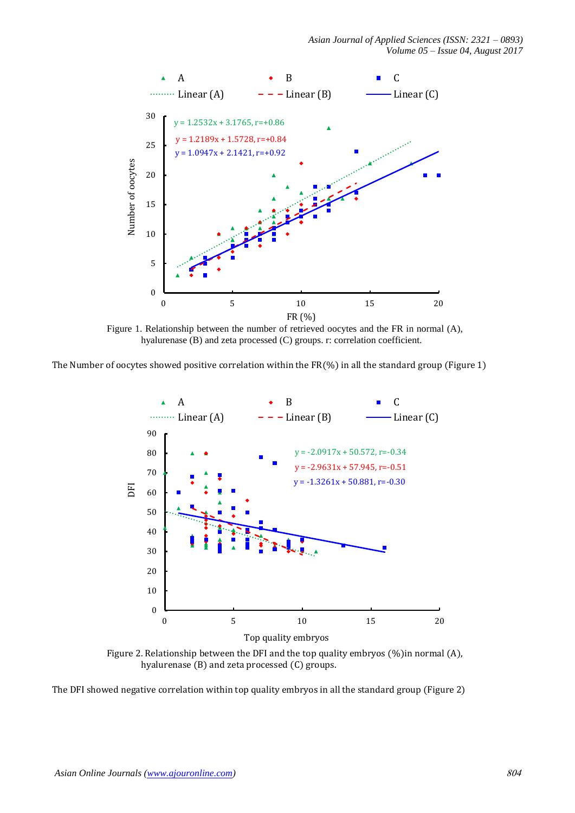

Figure 1. Relationship between the number of retrieved oocytes and the FR in normal (A), hyalurenase (B) and zeta processed (C) groups. r: correlation coefficient.

The Number of oocytes showed positive correlation within the FR(%) in all the standard group (Figure 1)



Figure 2. Relationship between the DFI and the top quality embryos (%)in normal (A), hyalurenase (B) and zeta processed (C) groups.

The DFI showed negative correlation within top quality embryos in all the standard group (Figure 2)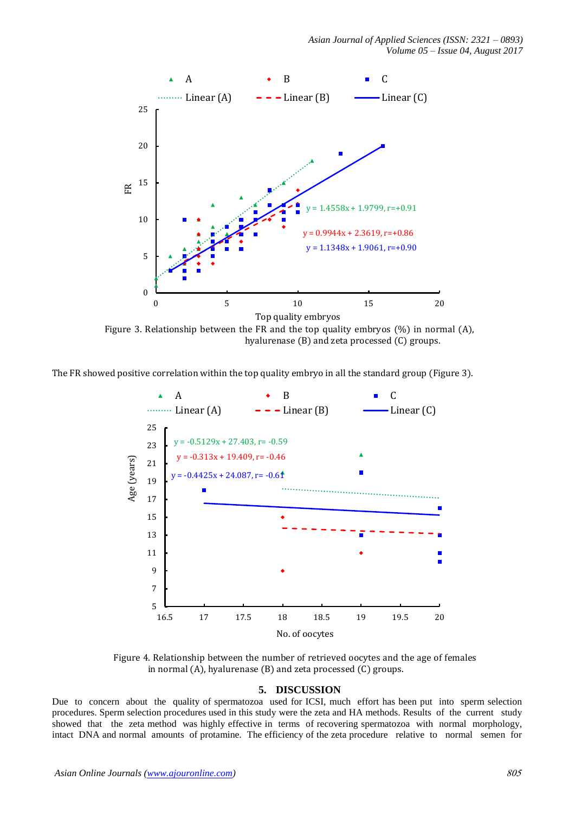

Figure 3. Relationship between the FR and the top quality embryos  $(\%)$  in normal  $(A)$ , hyalurenase (B) and zeta processed (C) groups.

The FR showed positive correlation within the top quality embryo in all the standard group (Figure 3).



Figure 4. Relationship between the number of retrieved oocytes and the age of females in normal (A), hyalurenase (B) and zeta processed (C) groups.

## **5. DISCUSSION**

Due to concern about the quality of spermatozoa used for ICSI, much effort has been put into sperm selection procedures. Sperm selection procedures used in this study were the zeta and HA methods. Results of the current study showed that the zeta method was highly effective in terms of recovering spermatozoa with normal morphology, intact DNA and normal amounts of protamine. The efficiency of the zeta procedure relative to normal semen for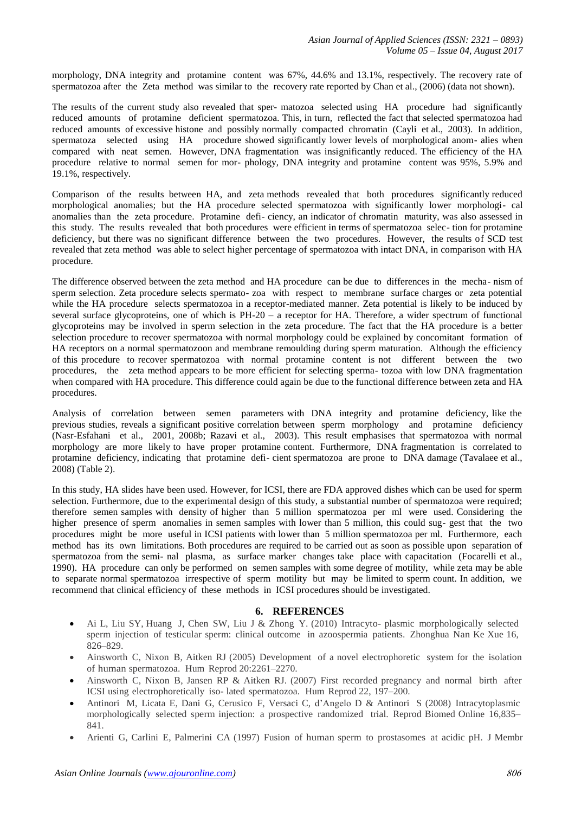morphology, DNA integrity and protamine content was 67%, 44.6% and 13.1%, respectively. The recovery rate of spermatozoa after the Zeta method was similar to the recovery rate reported by Chan et al., (2006) (data not shown).

The results of the current study also revealed that sper- matozoa selected using HA procedure had significantly reduced amounts of protamine deficient spermatozoa. This, in turn, reflected the fact that selected spermatozoa had reduced amounts of excessive histone and possibly normally compacted chromatin (Cayli et al., 2003). In addition, spermatoza selected using HA procedure showed significantly lower levels of morphological anom- alies when compared with neat semen. However, DNA fragmentation was insignificantly reduced. The efficiency of the HA procedure relative to normal semen for mor- phology, DNA integrity and protamine content was 95%, 5.9% and 19.1%, respectively.

Comparison of the results between HA, and zeta methods revealed that both procedures significantly reduced morphological anomalies; but the HA procedure selected spermatozoa with significantly lower morphologi- cal anomalies than the zeta procedure. Protamine defi- ciency, an indicator of chromatin maturity, was also assessed in this study. The results revealed that both procedures were efficient in terms of spermatozoa selec- tion for protamine deficiency, but there was no significant difference between the two procedures. However, the results of SCD test revealed that zeta method was able to select higher percentage of spermatozoa with intact DNA, in comparison with HA procedure.

The difference observed between the zeta method and HA procedure can be due to differences in the mecha- nism of sperm selection. Zeta procedure selects spermato- zoa with respect to membrane surface charges or zeta potential while the HA procedure selects spermatozoa in a receptor-mediated manner. Zeta potential is likely to be induced by several surface glycoproteins, one of which is PH-20 – a receptor for HA. Therefore, a wider spectrum of functional glycoproteins may be involved in sperm selection in the zeta procedure. The fact that the HA procedure is a better selection procedure to recover spermatozoa with normal morphology could be explained by concomitant formation of HA receptors on a normal spermatozoon and membrane remoulding during sperm maturation. Although the efficiency of this procedure to recover spermatozoa with normal protamine content is not different between the two procedures, the zeta method appears to be more efficient for selecting sperma- tozoa with low DNA fragmentation when compared with HA procedure. This difference could again be due to the functional difference between zeta and HA procedures.

Analysis of correlation between semen parameters with DNA integrity and protamine deficiency, like the previous studies, reveals a significant positive correlation between sperm morphology and protamine deficiency (Nasr-Esfahani et al., 2001, 2008b; Razavi et al., 2003). This result emphasises that spermatozoa with normal morphology are more likely to have proper protamine content. Furthermore, DNA fragmentation is correlated to protamine deficiency, indicating that protamine defi- cient spermatozoa are prone to DNA damage (Tavalaee et al., 2008) (Table 2).

In this study, HA slides have been used. However, for ICSI, there are FDA approved dishes which can be used for sperm selection. Furthermore, due to the experimental design of this study, a substantial number of spermatozoa were required; therefore semen samples with density of higher than 5 million spermatozoa per ml were used. Considering the higher presence of sperm anomalies in semen samples with lower than 5 million, this could sug- gest that the two procedures might be more useful in ICSI patients with lower than 5 million spermatozoa per ml. Furthermore, each method has its own limitations. Both procedures are required to be carried out as soon as possible upon separation of spermatozoa from the semi- nal plasma, as surface marker changes take place with capacitation (Focarelli et al., 1990). HA procedure can only be performed on semen samples with some degree of motility, while zeta may be able to separate normal spermatozoa irrespective of sperm motility but may be limited to sperm count. In addition, we recommend that clinical efficiency of these methods in ICSI procedures should be investigated.

# **6. REFERENCES**

- Ai L, Liu SY, Huang J, Chen SW, Liu J & Zhong Y. (2010) Intracyto- plasmic morphologically selected sperm injection of testicular sperm: clinical outcome in azoospermia patients. Zhonghua Nan Ke Xue 16, 826–829.
- Ainsworth C, Nixon B, Aitken RJ (2005) Development of a novel electrophoretic system for the isolation of human spermatozoa. Hum Reprod 20:2261–2270.
- Ainsworth C, Nixon B, Jansen RP & Aitken RJ. (2007) First recorded pregnancy and normal birth after ICSI using electrophoretically iso- lated spermatozoa. Hum Reprod 22, 197–200.
- Antinori M, Licata E, Dani G, Cerusico F, Versaci C, d'Angelo D & Antinori S (2008) Intracytoplasmic morphologically selected sperm injection: a prospective randomized trial. Reprod Biomed Online 16,835– 841.
- Arienti G, Carlini E, Palmerini CA (1997) Fusion of human sperm to prostasomes at acidic pH. J Membr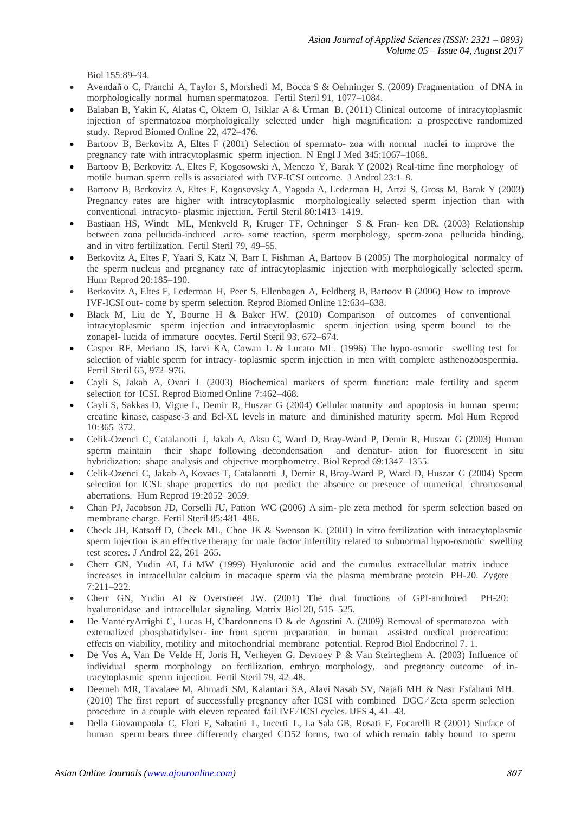Biol 155:89–94.

- Avendan˜ o C, Franchi A, Taylor S, Morshedi M, Bocca S & Oehninger S. (2009) Fragmentation of DNA in morphologically normal human spermatozoa. Fertil Steril 91, 1077–1084.
- Balaban B, Yakin K, Alatas C, Oktem O, Isiklar A & Urman B. (2011) Clinical outcome of intracytoplasmic injection of spermatozoa morphologically selected under high magnification: a prospective randomized study. Reprod Biomed Online 22, 472–476.
- Bartoov B, Berkovitz A, Eltes F (2001) Selection of spermato- zoa with normal nuclei to improve the pregnancy rate with intracytoplasmic sperm injection. N Engl J Med 345:1067–1068.
- Bartoov B, Berkovitz A, Eltes F, Kogosowski A, Menezo Y, Barak Y (2002) Real-time fine morphology of motile human sperm cells is associated with IVF-ICSI outcome. J Androl 23:1–8.
- Bartoov B, Berkovitz A, Eltes F, Kogosovsky A, Yagoda A, Lederman H, Artzi S, Gross M, Barak Y (2003) Pregnancy rates are higher with intracytoplasmic morphologically selected sperm injection than with conventional intracyto- plasmic injection. Fertil Steril 80:1413–1419.
- Bastiaan HS, Windt ML, Menkveld R, Kruger TF, Oehninger S & Fran- ken DR. (2003) Relationship between zona pellucida-induced acro- some reaction, sperm morphology, sperm-zona pellucida binding, and in vitro fertilization. Fertil Steril 79, 49–55.
- Berkovitz A, Eltes F, Yaari S, Katz N, Barr I, Fishman A, Bartoov B (2005) The morphological normalcy of the sperm nucleus and pregnancy rate of intracytoplasmic injection with morphologically selected sperm. Hum Reprod 20:185–190.
- Berkovitz A, Eltes F, Lederman H, Peer S, Ellenbogen A, Feldberg B, Bartoov B (2006) How to improve IVF-ICSI out- come by sperm selection. Reprod Biomed Online 12:634–638.
- Black M, Liu de Y, Bourne H & Baker HW. (2010) Comparison of outcomes of conventional intracytoplasmic sperm injection and intracytoplasmic sperm injection using sperm bound to the zonapel- lucida of immature oocytes. Fertil Steril 93, 672–674.
- Casper RF, Meriano JS, Jarvi KA, Cowan L & Lucato ML. (1996) The hypo-osmotic swelling test for selection of viable sperm for intracy- toplasmic sperm injection in men with complete asthenozoospermia. Fertil Steril 65, 972–976.
- Cayli S, Jakab A, Ovari L (2003) Biochemical markers of sperm function: male fertility and sperm selection for ICSI. Reprod Biomed Online 7:462–468.
- Cayli S, Sakkas D, Vigue L, Demir R, Huszar G (2004) Cellular maturity and apoptosis in human sperm: creatine kinase, caspase-3 and Bcl-XL levels in mature and diminished maturity sperm. Mol Hum Reprod 10:365–372.
- Celik-Ozenci C, Catalanotti J, Jakab A, Aksu C, Ward D, Bray-Ward P, Demir R, Huszar G (2003) Human sperm maintain their shape following decondensation and denatur- ation for fluorescent in situ hybridization: shape analysis and objective morphometry. Biol Reprod 69:1347–1355.
- Celik-Ozenci C, Jakab A, Kovacs T, Catalanotti J, Demir R, Bray-Ward P, Ward D, Huszar G (2004) Sperm selection for ICSI: shape properties do not predict the absence or presence of numerical chromosomal aberrations. Hum Reprod 19:2052–2059.
- Chan PJ, Jacobson JD, Corselli JU, Patton WC (2006) A sim- ple zeta method for sperm selection based on membrane charge. Fertil Steril 85:481–486.
- Check JH, Katsoff D, Check ML, Choe JK & Swenson K. (2001) In vitro fertilization with intracytoplasmic sperm injection is an effective therapy for male factor infertility related to subnormal hypo-osmotic swelling test scores. J Androl 22, 261–265.
- Cherr GN, Yudin AI, Li MW (1999) Hyaluronic acid and the cumulus extracellular matrix induce increases in intracellular calcium in macaque sperm via the plasma membrane protein PH-20. Zygote 7:211–222.
- Cherr GN, Yudin AI & Overstreet JW. (2001) The dual functions of GPI-anchored PH-20: hyaluronidase and intracellular signaling. Matrix Biol 20, 515–525.
- De Vanté ryArrighi C, Lucas H, Chardonnens D & de Agostini A. (2009) Removal of spermatozoa with externalized phosphatidylser- ine from sperm preparation in human assisted medical procreation: effects on viability, motility and mitochondrial membrane potential. Reprod Biol Endocrinol 7, 1.
- De Vos A, Van De Velde H, Joris H, Verheyen G, Devroey P & Van Steirteghem A. (2003) Influence of individual sperm morphology on fertilization, embryo morphology, and pregnancy outcome of intracytoplasmic sperm injection. Fertil Steril 79, 42–48.
- Deemeh MR, Tavalaee M, Ahmadi SM, Kalantari SA, Alavi Nasab SV, Najafi MH & Nasr Esfahani MH. (2010) The first report of successfully pregnancy after ICSI with combined DGC ⁄ Zeta sperm selection procedure in a couple with eleven repeated fail IVF ⁄ ICSI cycles. IJFS 4, 41–43.
- Della Giovampaola C, Flori F, Sabatini L, Incerti L, La Sala GB, Rosati F, Focarelli R (2001) Surface of human sperm bears three differently charged CD52 forms, two of which remain tably bound to sperm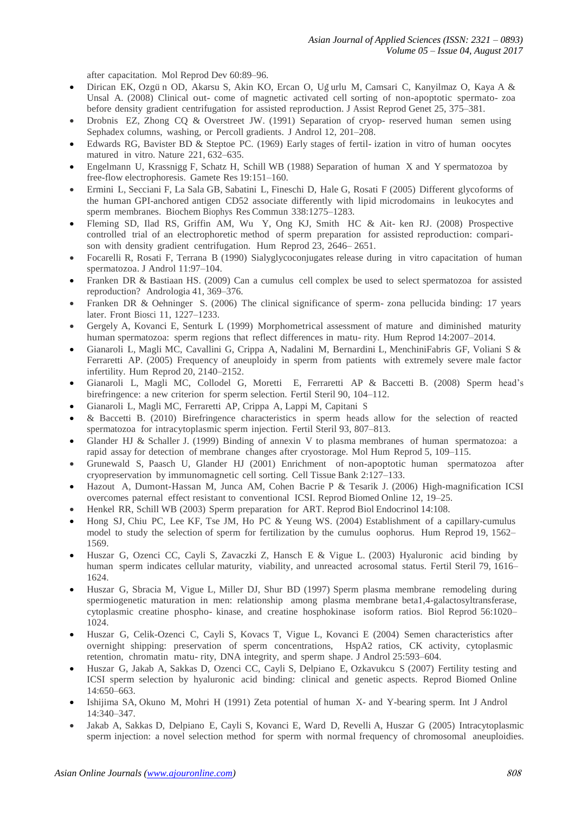after capacitation. Mol Reprod Dev 60:89–96.

- Dirican EK, Ozgün OD, Akarsu S, Akin KO, Ercan O, Uğurlu M, Camsari C, Kanyilmaz O, Kaya A & Unsal A. (2008) Clinical out- come of magnetic activated cell sorting of non-apoptotic spermato- zoa before density gradient centrifugation for assisted reproduction. J Assist Reprod Genet 25, 375–381.
- Drobnis EZ, Zhong CQ & Overstreet JW. (1991) Separation of cryop- reserved human semen using Sephadex columns, washing, or Percoll gradients. J Androl 12, 201–208.
- Edwards RG, Bavister BD & Steptoe PC. (1969) Early stages of fertil- ization in vitro of human oocytes matured in vitro. Nature 221, 632–635.
- Engelmann U, Krassnigg F, Schatz H, Schill WB (1988) Separation of human X and Y spermatozoa by free-flow electrophoresis. Gamete Res 19:151–160.
- Ermini L, Secciani F, La Sala GB, Sabatini L, Fineschi D, Hale G, Rosati F (2005) Different glycoforms of the human GPI-anchored antigen CD52 associate differently with lipid microdomains in leukocytes and sperm membranes. Biochem Biophys Res Commun 338:1275–1283.
- Fleming SD, Ilad RS, Griffin AM, Wu Y, Ong KJ, Smith HC & Ait- ken RJ. (2008) Prospective controlled trial of an electrophoretic method of sperm preparation for assisted reproduction: comparison with density gradient centrifugation. Hum Reprod 23, 2646– 2651.
- Focarelli R, Rosati F, Terrana B (1990) Sialyglycoconjugates release during in vitro capacitation of human spermatozoa. J Androl 11:97–104.
- Franken DR & Bastiaan HS. (2009) Can a cumulus cell complex be used to select spermatozoa for assisted reproduction? Andrologia 41, 369–376.
- Franken DR & Oehninger S. (2006) The clinical significance of sperm- zona pellucida binding: 17 years later. Front Biosci 11, 1227–1233.
- Gergely A, Kovanci E, Senturk L (1999) Morphometrical assessment of mature and diminished maturity human spermatozoa: sperm regions that reflect differences in matu- rity. Hum Reprod 14:2007–2014.
- Gianaroli L, Magli MC, Cavallini G, Crippa A, Nadalini M, Bernardini L, MenchiniFabris GF, Voliani S & Ferraretti AP. (2005) Frequency of aneuploidy in sperm from patients with extremely severe male factor infertility. Hum Reprod 20, 2140–2152.
- Gianaroli L, Magli MC, Collodel G, Moretti E, Ferraretti AP & Baccetti B. (2008) Sperm head's birefringence: a new criterion for sperm selection. Fertil Steril 90, 104–112.
- Gianaroli L, Magli MC, Ferraretti AP, Crippa A, Lappi M, Capitani S
- & Baccetti B. (2010) Birefringence characteristics in sperm heads allow for the selection of reacted spermatozoa for intracytoplasmic sperm injection. Fertil Steril 93, 807–813.
- Glander HJ & Schaller J. (1999) Binding of annexin V to plasma membranes of human spermatozoa: a rapid assay for detection of membrane changes after cryostorage. Mol Hum Reprod 5, 109–115.
- Grunewald S, Paasch U, Glander HJ (2001) Enrichment of non-apoptotic human spermatozoa after cryopreservation by immunomagnetic cell sorting. Cell Tissue Bank 2:127–133.
- Hazout A, Dumont-Hassan M, Junca AM, Cohen Bacrie P & Tesarik J. (2006) High-magnification ICSI overcomes paternal effect resistant to conventional ICSI. Reprod Biomed Online 12, 19–25.
- Henkel RR, Schill WB (2003) Sperm preparation for ART. Reprod Biol Endocrinol 14:108.
- Hong SJ, Chiu PC, Lee KF, Tse JM, Ho PC & Yeung WS. (2004) Establishment of a capillary-cumulus model to study the selection of sperm for fertilization by the cumulus oophorus. Hum Reprod 19, 1562– 1569.
- Huszar G, Ozenci CC, Cayli S, Zavaczki Z, Hansch E & Vigue L. (2003) Hyaluronic acid binding by human sperm indicates cellular maturity, viability, and unreacted acrosomal status. Fertil Steril 79, 1616– 1624.
- Huszar G, Sbracia M, Vigue L, Miller DJ, Shur BD (1997) Sperm plasma membrane remodeling during spermiogenetic maturation in men: relationship among plasma membrane beta1,4-galactosyltransferase, cytoplasmic creatine phospho- kinase, and creatine hosphokinase isoform ratios. Biol Reprod 56:1020– 1024
- Huszar G, Celik-Ozenci C, Cayli S, Kovacs T, Vigue L, Kovanci E (2004) Semen characteristics after overnight shipping: preservation of sperm concentrations, HspA2 ratios, CK activity, cytoplasmic retention, chromatin matu- rity, DNA integrity, and sperm shape. J Androl 25:593–604.
- Huszar G, Jakab A, Sakkas D, Ozenci CC, Cayli S, Delpiano E, Ozkavukcu S (2007) Fertility testing and ICSI sperm selection by hyaluronic acid binding: clinical and genetic aspects. Reprod Biomed Online 14:650–663.
- Ishijima SA, Okuno M, Mohri H (1991) Zeta potential of human X- and Y-bearing sperm. Int J Androl 14:340–347.
- Jakab A, Sakkas D, Delpiano E, Cayli S, Kovanci E, Ward D, Revelli A, Huszar G (2005) Intracytoplasmic sperm injection: a novel selection method for sperm with normal frequency of chromosomal aneuploidies.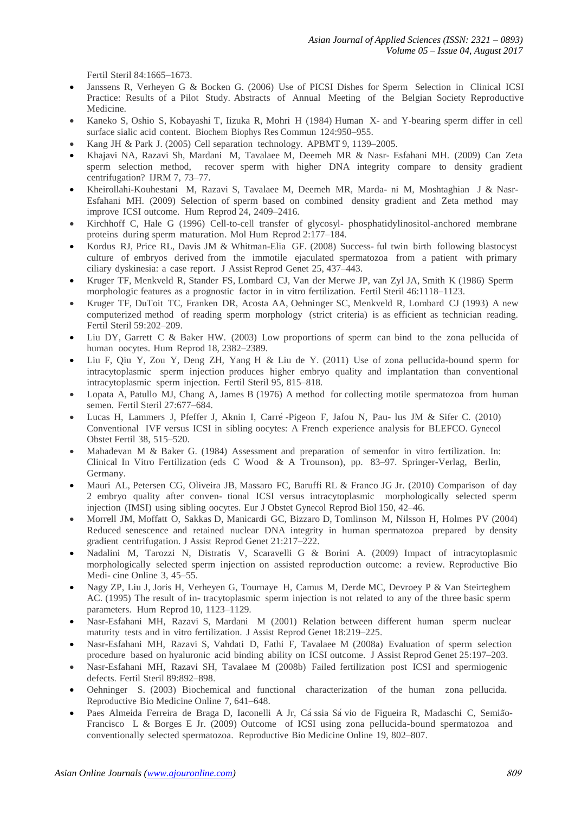Fertil Steril 84:1665–1673.

- Janssens R, Verheyen G & Bocken G. (2006) Use of PICSI Dishes for Sperm Selection in Clinical ICSI Practice: Results of a Pilot Study. Abstracts of Annual Meeting of the Belgian Society Reproductive Medicine.
- Kaneko S, Oshio S, Kobayashi T, Iizuka R, Mohri H (1984) Human X- and Y-bearing sperm differ in cell surface sialic acid content. Biochem Biophys Res Commun 124:950–955.
- Kang JH & Park J. (2005) Cell separation technology. APBMT 9, 1139–2005.
- Khajavi NA, Razavi Sh, Mardani M, Tavalaee M, Deemeh MR & Nasr- Esfahani MH. (2009) Can Zeta sperm selection method, recover sperm with higher DNA integrity compare to density gradient centrifugation? IJRM 7, 73–77.
- Kheirollahi-Kouhestani M, Razavi S, Tavalaee M, Deemeh MR, Marda- ni M, Moshtaghian J & Nasr-Esfahani MH. (2009) Selection of sperm based on combined density gradient and Zeta method may improve ICSI outcome. Hum Reprod 24, 2409–2416.
- Kirchhoff C, Hale G (1996) Cell-to-cell transfer of glycosyl- phosphatidylinositol-anchored membrane proteins during sperm maturation. Mol Hum Reprod 2:177–184.
- Kordus RJ, Price RL, Davis JM & Whitman-Elia GF. (2008) Success- ful twin birth following blastocyst culture of embryos derived from the immotile ejaculated spermatozoa from a patient with primary ciliary dyskinesia: a case report. J Assist Reprod Genet 25, 437–443.
- Kruger TF, Menkveld R, Stander FS, Lombard CJ, Van der Merwe JP, van Zyl JA, Smith K (1986) Sperm morphologic features as a prognostic factor in in vitro fertilization. Fertil Steril 46:1118–1123.
- Kruger TF, DuToit TC, Franken DR, Acosta AA, Oehninger SC, Menkveld R, Lombard CJ (1993) A new computerized method of reading sperm morphology (strict criteria) is as efficient as technician reading. Fertil Steril 59:202–209.
- Liu DY, Garrett C & Baker HW. (2003) Low proportions of sperm can bind to the zona pellucida of human oocytes. Hum Reprod 18, 2382–2389.
- Liu F, Qiu Y, Zou Y, Deng ZH, Yang H & Liu de Y. (2011) Use of zona pellucida-bound sperm for intracytoplasmic sperm injection produces higher embryo quality and implantation than conventional intracytoplasmic sperm injection. Fertil Steril 95, 815–818.
- Lopata A, Patullo MJ, Chang A, James B (1976) A method for collecting motile spermatozoa from human semen. Fertil Steril 27:677–684.
- Lucas H, Lammers J, Pfeffer J, Aknin I, Carre´ -Pigeon F, Jafou N, Pau- lus JM & Sifer C. (2010) Conventional IVF versus ICSI in sibling oocytes: A French experience analysis for BLEFCO. Gynecol Obstet Fertil 38, 515–520.
- Mahadevan M & Baker G. (1984) Assessment and preparation of semenfor in vitro fertilization. In: Clinical In Vitro Fertilization (eds C Wood & A Trounson), pp. 83–97. Springer-Verlag, Berlin, Germany.
- Mauri AL, Petersen CG, Oliveira JB, Massaro FC, Baruffi RL & Franco JG Jr. (2010) Comparison of day 2 embryo quality after conven- tional ICSI versus intracytoplasmic morphologically selected sperm injection (IMSI) using sibling oocytes. Eur J Obstet Gynecol Reprod Biol 150, 42–46.
- Morrell JM, Moffatt O, Sakkas D, Manicardi GC, Bizzaro D, Tomlinson M, Nilsson H, Holmes PV (2004) Reduced senescence and retained nuclear DNA integrity in human spermatozoa prepared by density gradient centrifugation. J Assist Reprod Genet 21:217–222.
- Nadalini M, Tarozzi N, Distratis V, Scaravelli G & Borini A. (2009) Impact of intracytoplasmic morphologically selected sperm injection on assisted reproduction outcome: a review. Reproductive Bio Medi- cine Online 3, 45–55.
- Nagy ZP, Liu J, Joris H, Verheyen G, Tournaye H, Camus M, Derde MC, Devroey P & Van Steirteghem AC. (1995) The result of in- tracytoplasmic sperm injection is not related to any of the three basic sperm parameters. Hum Reprod 10, 1123–1129.
- Nasr-Esfahani MH, Razavi S, Mardani M (2001) Relation between different human sperm nuclear maturity tests and in vitro fertilization. J Assist Reprod Genet 18:219–225.
- Nasr-Esfahani MH, Razavi S, Vahdati D, Fathi F, Tavalaee M (2008a) Evaluation of sperm selection procedure based on hyaluronic acid binding ability on ICSI outcome. J Assist Reprod Genet 25:197–203.
- Nasr-Esfahani MH, Razavi SH, Tavalaee M (2008b) Failed fertilization post ICSI and spermiogenic defects. Fertil Steril 89:892–898.
- Oehninger S. (2003) Biochemical and functional characterization of the human zona pellucida. Reproductive Bio Medicine Online 7, 641–648.
- Paes Almeida Ferreira de Braga D, Iaconelli A Jr, Cá ssia Sá vio de Figueira R, Madaschi C, Semião-Francisco L & Borges E Jr. (2009) Outcome of ICSI using zona pellucida-bound spermatozoa and conventionally selected spermatozoa. Reproductive Bio Medicine Online 19, 802–807.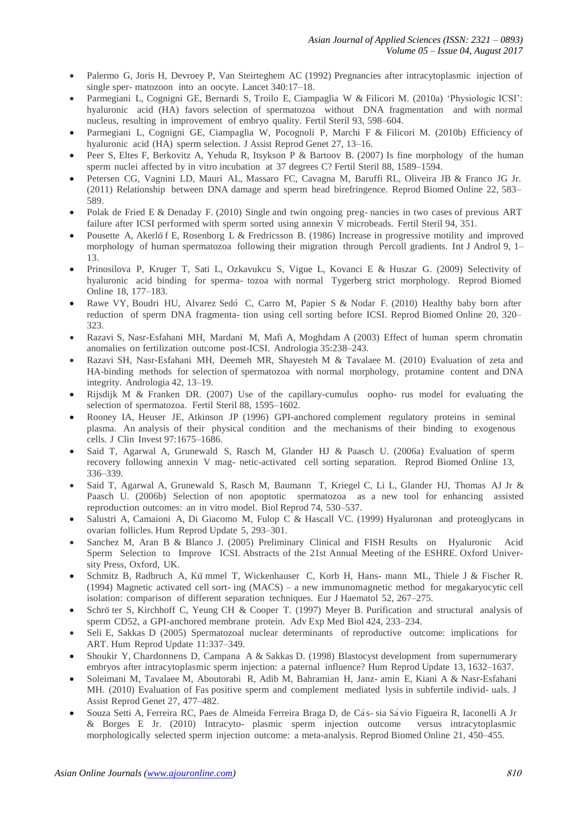- Palermo G, Joris H, Devroey P, Van Steirteghem AC (1992) Pregnancies after intracytoplasmic injection of single sper- matozoon into an oocyte. Lancet 340:17–18.
- Parmegiani L, Cognigni GE, Bernardi S, Troilo E, Ciampaglia W & Filicori M. (2010a) 'Physiologic ICSI': hyaluronic acid (HA) favors selection of spermatozoa without DNA fragmentation and with normal nucleus, resulting in improvement of embryo quality. Fertil Steril 93, 598–604.
- Parmegiani L, Cognigni GE, Ciampaglia W, Pocognoli P, Marchi F & Filicori M. (2010b) Efficiency of hyaluronic acid (HA) sperm selection. J Assist Reprod Genet 27, 13–16.
- Peer S, Eltes F, Berkovitz A, Yehuda R, Itsykson P & Bartoov B. (2007) Is fine morphology of the human sperm nuclei affected by in vitro incubation at 37 degrees C? Fertil Steril 88, 1589–1594.
- Petersen CG, Vagnini LD, Mauri AL, Massaro FC, Cavagna M, Baruffi RL, Oliveira JB & Franco JG Jr. (2011) Relationship between DNA damage and sperm head birefringence. Reprod Biomed Online 22, 583– 589.
- Polak de Fried E & Denaday F. (2010) Single and twin ongoing preg- nancies in two cases of previous ART failure after ICSI performed with sperm sorted using annexin V microbeads. Fertil Steril 94, 351.
- Pousette A, Akerlo¨f E, Rosenborg L & Fredricsson B. (1986) Increase in progressive motility and improved morphology of human spermatozoa following their migration through Percoll gradients. Int J Androl 9, 1– 13.
- Prinosilova P, Kruger T, Sati L, Ozkavukcu S, Vigue L, Kovanci E & Huszar G. (2009) Selectivity of hyaluronic acid binding for sperma- tozoa with normal Tygerberg strict morphology. Reprod Biomed Online 18, 177–183.
- Rawe VY, Boudri HU, Alvarez Sedó C, Carro M, Papier S & Nodar F, (2010) Healthy baby born after reduction of sperm DNA fragmenta- tion using cell sorting before ICSI. Reprod Biomed Online 20, 320– 323.
- Razavi S, Nasr-Esfahani MH, Mardani M, Mafi A, Moghdam A (2003) Effect of human sperm chromatin anomalies on fertilization outcome post-ICSI. Andrologia 35:238–243.
- Razavi SH, Nasr-Esfahani MH, Deemeh MR, Shayesteh M & Tavalaee M. (2010) Evaluation of zeta and HA-binding methods for selection of spermatozoa with normal morphology, protamine content and DNA integrity. Andrologia 42, 13–19.
- Rijsdijk M & Franken DR. (2007) Use of the capillary-cumulus oopho- rus model for evaluating the selection of spermatozoa. Fertil Steril 88, 1595–1602.
- Rooney IA, Heuser JE, Atkinson JP (1996) GPI-anchored complement regulatory proteins in seminal plasma. An analysis of their physical condition and the mechanisms of their binding to exogenous cells. J Clin Invest 97:1675–1686.
- Said T, Agarwal A, Grunewald S, Rasch M, Glander HJ & Paasch U. (2006a) Evaluation of sperm recovery following annexin V mag- netic-activated cell sorting separation. Reprod Biomed Online 13, 336–339.
- Said T, Agarwal A, Grunewald S, Rasch M, Baumann T, Kriegel C, Li L, Glander HJ, Thomas AJ Jr & Paasch U. (2006b) Selection of non apoptotic spermatozoa as a new tool for enhancing assisted reproduction outcomes: an in vitro model. Biol Reprod 74, 530–537.
- Salustri A, Camaioni A, Di Giacomo M, Fulop C & Hascall VC. (1999) Hyaluronan and proteoglycans in ovarian follicles. Hum Reprod Update 5, 293–301.
- Sanchez M, Aran B & Blanco J. (2005) Preliminary Clinical and FISH Results on Hyaluronic Acid Sperm Selection to Improve ICSI. Abstracts of the 21st Annual Meeting of the ESHRE. Oxford University Press, Oxford, UK.
- Schmitz B, Radbruch A, Ku¨ mmel T, Wickenhauser C, Korb H, Hans- mann ML, Thiele J & Fischer R. (1994) Magnetic activated cell sort- ing (MACS) – a new immunomagnetic method for megakaryocytic cell isolation: comparison of different separation techniques. Eur J Haematol 52, 267–275.
- Schrö ter S, Kirchhoff C, Yeung CH & Cooper T. (1997) Meyer B. Purification and structural analysis of sperm CD52, a GPI-anchored membrane protein. Adv Exp Med Biol 424, 233–234.
- Seli E, Sakkas D (2005) Spermatozoal nuclear determinants of reproductive outcome: implications for ART. Hum Reprod Update 11:337–349.
- Shoukir Y, Chardonnens D, Campana A & Sakkas D. (1998) Blastocyst development from supernumerary embryos after intracytoplasmic sperm injection: a paternal influence? Hum Reprod Update 13, 1632–1637.
- Soleimani M, Tavalaee M, Aboutorabi R, Adib M, Bahramian H, Janz- amin E, Kiani A & Nasr-Esfahani MH. (2010) Evaluation of Fas positive sperm and complement mediated lysis in subfertile individ- uals. J Assist Reprod Genet 27, 477–482.
- Souza Setti A, Ferreira RC, Paes de Almeida Ferreira Braga D, de Cás- sia Sávio Figueira R, Iaconelli A Jr & Borges E Jr. (2010) Intracyto- plasmic sperm injection outcome versus intracytoplasmic morphologically selected sperm injection outcome: a meta-analysis. Reprod Biomed Online 21, 450–455.